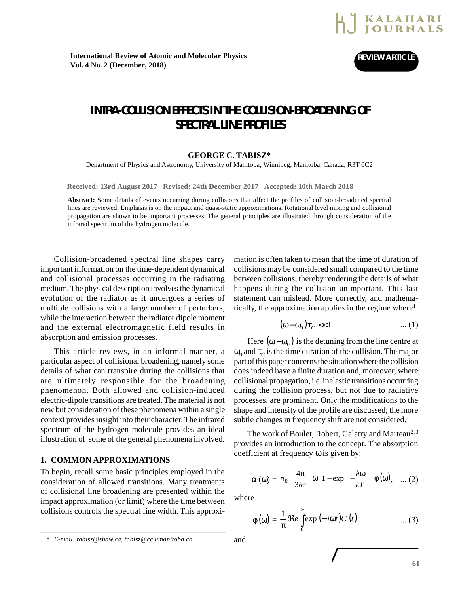

# **INTRA-COLLISION EFFECTS IN THE COLLISION-BROADENING OF SPECTRAL LINE PROFILES**

#### **GEORGE C. TABISZ\***

Department of Physics and Astronomy, University of Manitoba, Winnipeg, Manitoba, Canada, R3T 0C2

**Received: 13rd August 2017 Revised: 24th December 2017 Accepted: 10th March 2018**

**Abstract:** Some details of events occurring during collisions that affect the profiles of collision-broadened spectral lines are reviewed. Emphasis is on the impact and quasi-static approximations. Rotational level mixing and collisional propagation are shown to be important processes. The general principles are illustrated through consideration of the infrared spectrum of the hydrogen molecule.

Collision-broadened spectral line shapes carry important information on the time-dependent dynamical and collisional processes occurring in the radiating medium. The physical description involves the dynamical evolution of the radiator as it undergoes a series of multiple collisions with a large number of perturbers, while the interaction between the radiator dipole moment and the external electromagnetic field results in absorption and emission processes.

This article reviews, in an informal manner, a particular aspect of collisional broadening, namely some details of what can transpire during the collisions that are ultimately responsible for the broadening phenomenon. Both allowed and collision-induced electric-dipole transitions are treated. The material is not new but consideration of these phenomena within a single context provides insight into their character. The infrared spectrum of the hydrogen molecule provides an ideal illustration of some of the general phenomena involved.

# **1. COMMON APPROXIMATIONS**

To begin, recall some basic principles employed in the consideration of allowed transitions. Many treatments of collisional line broadening are presented within the impact approximation (or limit) where the time between collisions controls the spectral line width. This approxi-

mation is often taken to mean that the time of duration of collisions may be considered small compared to the time between collisions, thereby rendering the details of what happens during the collision unimportant. This last statement can mislead. More correctly, and mathematically, the approximation applies in the regime where<sup>1</sup>

$$
(\omega - \omega_0)\tau_C \ll 1 \tag{1}
$$

Here  $(\omega - \omega_0)$  is the detuning from the line centre at  $\omega_0$  and  $\tau_C$  is the time duration of the collision. The major part of this paper concerns the situation where the collision does indeed have a finite duration and, moreover, where collisional propagation, i.e. inelastic transitions occurring during the collision process, but not due to radiative processes, are prominent. Only the modifications to the shape and intensity of the profile are discussed; the more subtle changes in frequency shift are not considered.

The work of Boulet, Robert, Galatry and Marteau<sup>2, 3</sup> provides an introduction to the concept. The absorption coefficient at frequency ω is given by:

$$
\alpha(\omega) = n_R \left(\frac{4\pi}{3\hbar c}\right) \omega \left[1 - \exp\left(-\frac{\hbar \omega}{kT}\right)\right] \phi(\omega), \quad \dots (2)
$$

where

$$
\phi\left(\omega\right) = \frac{1}{\pi} \mathfrak{Re} \int_{0}^{\infty} \exp\left(-i\omega t\right) C\left(t\right) \qquad \qquad \dots (3)
$$

International Review of Atomic and Molecular Physics, 1 (1), January-June 2010 **53**

*<sup>\*</sup> E-mail: tabisz@shaw.ca, tabisz@cc.umanitoba.ca* and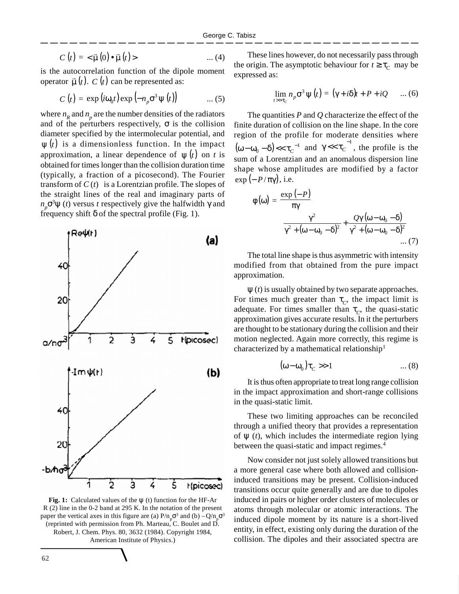$$
C(t) = \langle \vec{\mu}(0) \bullet \vec{\mu}(t) \rangle \qquad \qquad \dots (4)
$$

is the autocorrelation function of the dipole moment operator  $\vec{\mu}(t)$ .  $C(t)$  can be represented as:

$$
C(t) = \exp(i\omega_0 t) \exp(-n_p \sigma^3 \psi(t)) \qquad \dots (5)
$$

where  $n_R$  and  $n_p$  are the number densities of the radiators and of the perturbers respectively,  $\sigma$  is the collision diameter specified by the intermolecular potential, and  $\psi(t)$  is a dimensionless function. In the impact approximation, a linear dependence of  $\psi(t)$  on *t* is obtained for times longer than the collision duration time (typically, a fraction of a picosecond). The Fourier transform of  $C(t)$  is a Lorentzian profile. The slopes of the straight lines of the real and imaginary parts of  $n_p \sigma^3$ ψ (*t*) versus *t* respectively give the halfwidth γ and frequency shift  $\delta$  of the spectral profile (Fig. 1).



**Fig. 1:** Calculated values of the ψ (t) function for the HF-Ar R (2) line in the 0-2 band at 295 K. In the notation of the present paper the vertical axes in this figure are (a)  $P/n_p \sigma^3$  and (b)  $-Q/n_p \sigma^3$ (reprinted with permission from Ph. Marteau, C. Boulet and D. Robert, J. Chem. Phys. 80, 3632 (1984). Copyright 1984, American Institute of Physics.)

These lines however, do not necessarily pass through the origin. The asymptotic behaviour for  $t \ge \tau_C$  may be expressed as:

$$
\lim_{t \to \tau_c} n_p \sigma^3 \psi(t) = (\gamma + i\delta)t + P + iQ \qquad ... (6)
$$

The quantities *P* and *Q* characterize the effect of the finite duration of collision on the line shape. In the core region of the profile for moderate densities where  $(\omega - \omega_0 - \delta) < \tau_C^{-1}$  $(\omega - \omega_0 - \delta)$  <<  $\tau_c^{-1}$  and  $\gamma$  <<  $\tau_c^{-1}$ , the profile is the sum of a Lorentzian and an anomalous dispersion line shape whose amplitudes are modified by a factor  $\exp(-P/\pi\gamma)$ , i.e.

$$
\phi(\omega) = \frac{\exp(-P)}{\pi\gamma}
$$

$$
\left[\frac{\gamma^2}{\gamma^2 + (\omega - \omega_0 - \delta)^2} + \frac{Q\gamma(\omega - \omega_0 - \delta)}{\gamma^2 + (\omega - \omega_0 - \delta)^2}\right] \dots (7)
$$

The total line shape is thus asymmetric with intensity modified from that obtained from the pure impact approximation.

ψ (*t*) is usually obtained by two separate approaches. For times much greater than  $\tau_c$ , the impact limit is adequate. For times smaller than  $\tau_c$ , the quasi-static approximation gives accurate results. In it the perturbers are thought to be stationary during the collision and their motion neglected. Again more correctly, this regime is characterized by a mathematical relationship<sup>1</sup>

$$
(\omega - \omega_0)\tau_C \gg 1 \tag{8}
$$

It is thus often appropriate to treat long range collision in the impact approximation and short-range collisions in the quasi-static limit.

These two limiting approaches can be reconciled through a unified theory that provides a representation of  $\psi$  (*t*), which includes the intermediate region lying between the quasi-static and impact regimes.<sup>4</sup>

Now consider not just solely allowed transitions but a more general case where both allowed and collisioninduced transitions may be present. Collision-induced transitions occur quite generally and are due to dipoles induced in pairs or higher order clusters of molecules or atoms through molecular or atomic interactions. The induced dipole moment by its nature is a short-lived entity, in effect, existing only during the duration of the collision. The dipoles and their associated spectra are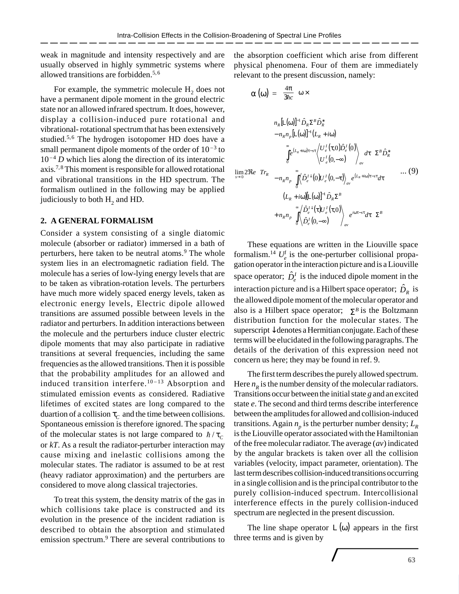weak in magnitude and intensity respectively and are usually observed in highly symmetric systems where allowed transitions are forbidden.<sup>5,6</sup>

For example, the symmetric molecule  $H_2$  does not have a permanent dipole moment in the ground electric state nor an allowed infrared spectrum. It does, however, display a collision-induced pure rotational and vibrational- rotational spectrum that has been extensively studied.<sup>5,6</sup> The hydrogen isotopomer HD does have a small permanent dipole moments of the order of  $10^{-3}$  to  $10^{-4}$  *D* which lies along the direction of its interatomic axis.<sup>7,8</sup> This moment is responsible for allowed rotational and vibrational transitions in the HD spectrum. The formalism outlined in the following may be applied judiciously to both  $\mathrm{H}_{2}$  and HD.

# **2. A GENERAL FORMALISM**

Consider a system consisting of a single diatomic molecule (absorber or radiator) immersed in a bath of perturbers, here taken to be neutral atoms.<sup>9</sup> The whole system lies in an electromagnetic radiation field. The molecule has a series of low-lying energy levels that are to be taken as vibration-rotation levels. The perturbers have much more widely spaced energy levels, taken as electronic energy levels, Electric dipole allowed transitions are assumed possible between levels in the radiator and perturbers. In addition interactions between the molecule and the perturbers induce cluster electric dipole moments that may also participate in radiative transitions at several frequencies, including the same frequencies as the allowed transitions. Then it is possible that the probability amplitudes for an allowed and induced transition interfere. $10 - 13$  Absorption and stimulated emission events as considered. Radiative lifetimes of excited states are long compared to the duartion of a collision  $\tau_C$  and the time between collisions. Spontaneous emission is therefore ignored. The spacing of the molecular states is not large compared to  $\hbar/\tau_c$ or *kT*. As a result the radiator-perturber interaction may cause mixing and inelastic collisions among the molecular states. The radiator is assumed to be at rest (heavy radiator approximation) and the perturbers are considered to move along classical trajectories.

To treat this system, the density matrix of the gas in which collisions take place is constructed and its evolution in the presence of the incident radiation is described to obtain the absorption and stimulated emission spectrum.<sup>9</sup> There are several contributions to

the absorption coefficient which arise from different physical phenomena. Four of them are immediately relevant to the present discussion, namely:

$$
\alpha\left(\omega\right) = \left(\frac{4\pi}{3\hbar c}\right)\omega \times
$$

$$
\lim_{s\to 0} 2\Re e \left(\begin{array}{c} n_R[\mathsf{L}(\omega)]^{-1} \hat{D}_R \Sigma^B \hat{D}_R^* \\ -n_R n_p[\mathsf{L}(\omega)]^{-1} (L_R + i\omega) \\ \begin{bmatrix} \vdots \\ \vdots \\ \vdots \\ \vdots \end{bmatrix} e^{(L_R + i\omega)\tau - s\tau} \left\langle U_{\epsilon}^I(\tau, 0) \hat{D}_{\epsilon}^I(0) \right\rangle_{av} d\tau \right) \Sigma^B \hat{D}_R^* \\ -n_R n_p \left[ \int_0^{\infty} \left\langle \hat{D}_{\epsilon}^{I \downarrow}(0) U_{\epsilon}^I(0, -\tau) \right\rangle_{av} e^{(L_R + i\omega)\tau - s\tau} d\tau \right] \\ (L_R + i\omega) [\mathsf{L}(\omega)]^{-1} \hat{D}_R \Sigma^B \\ +n_R n_p \left[ \int_0^{\infty} \left\langle \hat{D}_{\epsilon}^{I \downarrow}(\tau) U_{\epsilon}^I(\tau, 0) \right\rangle_{av} e^{i\omega\tau - s\tau} d\tau \right] \Sigma^B \end{array} \right) \dots (9)
$$

These equations are written in the Liouville space formalism.<sup>14</sup>  $U_e^I$  is the one-perturber collisional propagation operator in the interaction picture and is a Liouville space operator;  $\hat{D}_e^I$  is the induced dipole moment in the interaction picture and is a Hilbert space operator;  $\hat{D}_R$  is the allowed dipole moment of the molecular operator and also is a Hilbert space operator;  $\Sigma^B$  is the Boltzmann distribution function for the molecular states. The superscript↓ denotes a Hermitian conjugate. Each of these terms will be elucidated in the following paragraphs. The details of the derivation of this expression need not concern us here; they may be found in ref. 9.

The first term describes the purely allowed spectrum. Here  $n<sub>R</sub>$  is the number density of the molecular radiators. Transitions occur between the initial state *g* and an excited state *e*. The second and third terms describe interference between the amplitudes for allowed and collision-induced transitions. Again  $n_p$  is the perturber number density;  $L_R$ is the Liouville operator associated with the Hamiltonian of the free molecular radiator. The average (*av*) indicated by the angular brackets is taken over all the collision variables (velocity, impact parameter, orientation). The last term describes collision-induced transitions occurring in a single collision and is the principal contributor to the purely collision-induced spectrum. Intercollisional interference effects in the purely collision-induced spectrum are neglected in the present discussion.

The line shape operator  $L(\omega)$  appears in the first three terms and is given by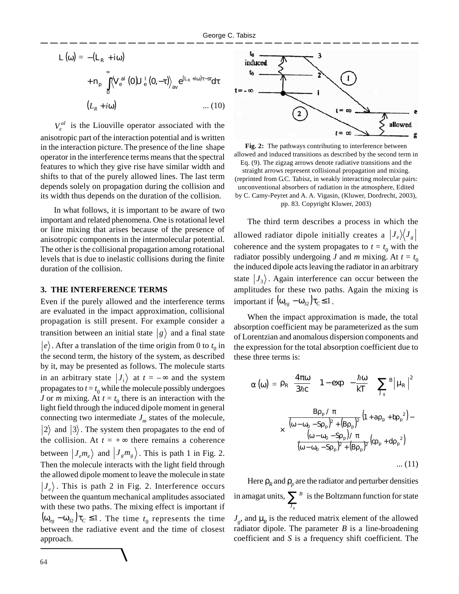$$
L(\omega) = -(L_R + i\omega)
$$
  
+ 
$$
n_p \left[ \int_0^{\infty} \left\langle V_e^{al} (0) U_e^{\dagger} (0, -\tau) \right\rangle_{av} e^{(L_R + i\omega)\tau - s\tau} d\tau \right]
$$
  

$$
(L_R + i\omega) \qquad \qquad \dots (10)
$$

 $V_e^{al}$  is the Liouville operator associated with the anisotropic part of the interaction potential and is written in the interaction picture. The presence of the line shape operator in the interference terms means that the spectral features to which they give rise have similar width and shifts to that of the purely allowed lines. The last term depends solely on propagation during the collision and its width thus depends on the duration of the collision.

In what follows, it is important to be aware of two important and related phenomena. One is rotational level or line mixing that arises because of the presence of anisotropic components in the intermolecular potential. The other is the collisional propagation among rotational levels that is due to inelastic collisions during the finite duration of the collision.

### **3. THE INTERFERENCE TERMS**

Even if the purely allowed and the interference terms are evaluated in the impact approximation, collisional propagation is still present. For example consider a transition between an initial state  $|g\rangle$  and a final state  $\ket{e}$  . After a translation of the time origin from 0 to  $t_0$  in the second term, the history of the system, as described by it, may be presented as follows. The molecule starts in an arbitrary state  $|J_i\rangle$  at  $t = -\infty$  and the system propagates to  $t = t_0$  while the molecule possibly undergoes *J* or *m* mixing. At  $t = t_0$  there is an interaction with the light field through the induced dipole moment in general connecting two intermediate  $J_m$  states of the molecule,  $|2\rangle$  and  $|3\rangle$ . The system then propagates to the end of the collision. At  $t = +\infty$  there remains a coherence between  $|J_e m_e\rangle$  and  $|J_g m_g\rangle$ . This is path 1 in Fig. 2. Then the molecule interacts with the light field through the allowed dipole moment to leave the molecule in state  $|J_e\rangle$ . This is path 2 in Fig. 2. Interference occurs between the quantum mechanical amplitudes associated with these two paths. The mixing effect is important if  $(\omega_{eg} - \omega_{32}) \tau_C \le 1$ . The time  $t_0$  represents the time between the radiative event and the time of closest approach.



**Fig. 2:** The pathways contributing to interference between allowed and induced transitions as described by the second term in Eq. (9). The zigzag arrows denote radiative transitions and the straight arrows represent collisional propagation and mixing. (reprinted from G.C. Tabisz, in weakly interacting molecular pairs: unconventional absorbers of radiation in the atmosphere, Edited by C. Camy-Peyret and A. A. Vigasin, (Kluwer, Dordrecht, 2003), pp. 83. Copyright Kluwer, 2003)

The third term describes a process in which the allowed radiator dipole initially creates a  $\left|J_e\right\rangle\!\!\left\langle J_g\right|$ coherence and the system propagates to  $t = t_0$  with the radiator possibly undergoing *J* and *m* mixing. At  $t = t_0$ the induced dipole acts leaving the radiator in an arbitrary state  $|J_3\rangle$ . Again interference can occur between the amplitudes for these two paths. Again the mixing is important if  $(\omega_{ee} - \omega_{32})\tau_C \leq 1$ .

When the impact approximation is made, the total absorption coefficient may be parameterized as the sum of Lorentzian and anomalous dispersion components and the expression for the total absorption coefficient due to these three terms is:

$$
\alpha(\omega) = \rho_{\rm R} \left( \frac{4\pi\omega}{3\hbar c} \right) \left( 1 - \exp\left( -\frac{\hbar\omega}{kT} \right) \right) \sum_{\rm g}^{\rm B} \left| \mu_{\rm R} \right|^2
$$

$$
\times \left( \frac{\frac{\text{B}\rho_{\rm p} / \pi}{(\omega - \omega_{\rm o} - \text{S}\rho_{\rm p})^2 + (\text{B}\rho_{\rm p})^2} \left( 1 + \text{B}\rho_{\rm p} + \text{B}\rho_{\rm p}^2 \right) - \left( \frac{\omega - \omega_{\rm o} - \text{S}\rho_{\rm p}}{(\omega - \omega_{\rm o} - \text{S}\rho_{\rm p})^2 + (\text{B}\rho_{\rm p})^2} \left( \text{C}\rho_{\rm p} + \text{d}\rho_{\rm p}^2 \right) \right) \dots (11)
$$

Here  $\rho_R$  and  $\rho_p$  are the radiator and perturber densities in amagat units, ∑ *J g B* is the Boltzmann function for state

 $J_g$ , and  $\mu_R$  is the reduced matrix element of the allowed radiator dipole. The parameter *B* is a line-broadening coefficient and *S* is a frequency shift coefficient. The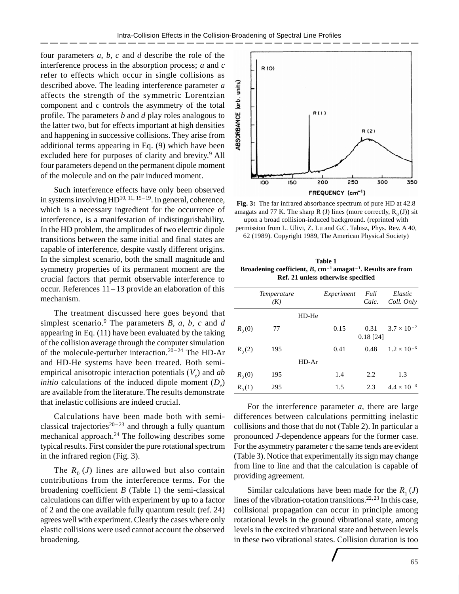four parameters *a*, *b*, *c* and *d* describe the role of the interference process in the absorption process; *a* and *c* refer to effects which occur in single collisions as described above. The leading interference parameter *a* affects the strength of the symmetric Lorentzian component and *c* controls the asymmetry of the total profile. The parameters *b* and *d* play roles analogous to the latter two, but for effects important at high densities and happening in successive collisions. They arise from additional terms appearing in Eq. (9) which have been excluded here for purposes of clarity and brevity.<sup>9</sup> All four parameters depend on the permanent dipole moment of the molecule and on the pair induced moment.

Such interference effects have only been observed in systems involving  $HD^{10, 11, 15-19}$ . In general, coherence, which is a necessary ingredient for the occurrence of interference, is a manifestation of indistinguishability. In the HD problem, the amplitudes of two electric dipole transitions between the same initial and final states are capable of interference, despite vastly different origins. In the simplest scenario, both the small magnitude and symmetry properties of its permanent moment are the crucial factors that permit observable interference to occur. References 11– 13 provide an elaboration of this mechanism.

The treatment discussed here goes beyond that simplest scenario.<sup>9</sup> The parameters *B*, *a*, *b*, *c* and *d* appearing in Eq. (11) have been evaluated by the taking of the collision average through the computer simulation of the molecule-perturber interaction.<sup>20-24</sup> The HD-Ar and HD-He systems have been treated. Both semiempirical anisotropic interaction potentials (*V<sup>e</sup>* ) and *ab initio* calculations of the induced dipole moment (*D<sup>e</sup>* ) are available from the literature. The results demonstrate that inelastic collisions are indeed crucial.

Calculations have been made both with semiclassical trajectories<sup>20-23</sup> and through a fully quantum mechanical approach.<sup>24</sup> The following describes some typical results. First consider the pure rotational spectrum in the infrared region (Fig. 3).

The  $R_0$  (*J*) lines are allowed but also contain contributions from the interference terms. For the broadening coefficient *B* (Table 1) the semi-classical calculations can differ with experiment by up to a factor of 2 and the one available fully quantum result (ref. 24) agrees well with experiment. Clearly the cases where only elastic collisions were used cannot account the observed broadening.



**Fig. 3:** The far infrared absorbance spectrum of pure HD at 42.8 amagats and 77 K. The sharp R (J) lines (more correctly,  $R_0(J)$ ) sit upon a broad collision-induced background. (reprinted with

permission from L. Ulivi, Z. Lu and G.C. Tabisz, Phys. Rev. A 40, 62 (1989). Copyright 1989, The American Physical Society)

**Table 1 Broadening coefficient,** *B***, cm– <sup>1</sup> amagat – 1 . Results are from Ref. 21 unless otherwise specified**

|          | <i>Temperature</i><br>(K) |         | Experiment | Full<br>Calc.       | Elastic<br>Coll. Only |
|----------|---------------------------|---------|------------|---------------------|-----------------------|
|          |                           | $HD-He$ |            |                     |                       |
| $R_0(0)$ | 77                        |         | 0.15       | 0.31<br>$0.18$ [24] | $3.7 \times 10^{-2}$  |
| $R_0(2)$ | 195                       |         | 0.41       | 0.48                | $1.2 \times 10^{-6}$  |
|          |                           | $HD-Ar$ |            |                     |                       |
| $R_0(0)$ | 195                       |         | 1.4        | 2.2                 | 1.3                   |
| $R_0(1)$ | 295                       |         | 1.5        | 2.3                 | $4.4 \times 10^{-3}$  |

For the interference parameter *a*, there are large differences between calculations permitting inelastic collisions and those that do not (Table 2). In particular a pronounced *J*-dependence appears for the former case. For the asymmetry parameter *c* the same tends are evident (Table 3). Notice that experimentally its sign may change from line to line and that the calculation is capable of providing agreement.

Similar calculations have been made for the  $R_1$  (*J*) lines of the vibration-rotation transitions.<sup>22,23</sup> In this case, collisional propagation can occur in principle among rotational levels in the ground vibrational state, among levels in the excited vibrational state and between levels in these two vibrational states. Collision duration is too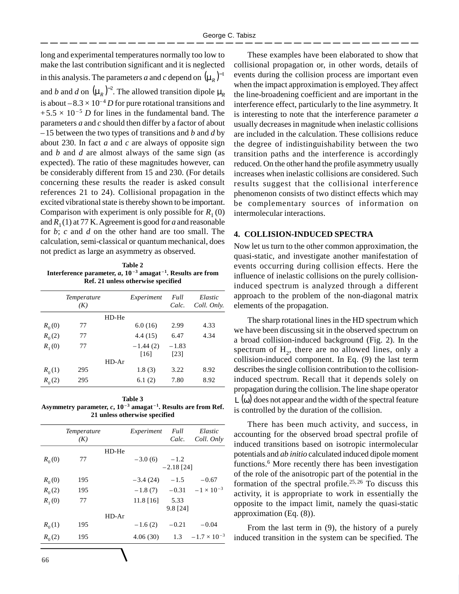long and experimental temperatures normally too low to make the last contribution significant and it is neglected in this analysis. The parameters *a* and *c* depend on  $(\mu_R)^{-1}$ and *b* and *d* on  $(\mu_R)^{-2}$ . The allowed transition dipole  $\mu_R$ is about  $-8.3 \times 10^{-4}$  *D* for pure rotational transitions and  $+5.5 \times 10^{-5}$  *D* for lines in the fundamental band. The parameters *a* and *c* should then differ by a factor of about –15 between the two types of transitions and *b* and *d* by about 230. In fact *a* and *c* are always of opposite sign and *b* and *d* are almost always of the same sign (as expected). The ratio of these magnitudes however, can be considerably different from 15 and 230. (For details concerning these results the reader is asked consult references 21 to 24). Collisional propagation in the excited vibrational state is thereby shown to be important. Comparison with experiment is only possible for  $R_1(0)$ and  $R_1(1)$  at 77 K. Agreement is good for *a* and reasonable for *b*; *c* and *d* on the other hand are too small. The calculation, semi-classical or quantum mechanical, does not predict as large an asymmetry as observed.

**Table 2 Interference parameter,** *a***, 10 – 3 amagat – 1 . Results are from Ref. 21 unless otherwise specified**

|          | Temperature<br>(K) |         | Experiment         | Full<br>Calc.   | Elastic<br>Coll. Only. |
|----------|--------------------|---------|--------------------|-----------------|------------------------|
|          |                    | $HD-He$ |                    |                 |                        |
| $R_0(0)$ | 77                 |         | 6.0(16)            | 2.99            | 4.33                   |
| $R_0(2)$ | 77                 |         | 4.4(15)            | 6.47            | 4.34                   |
| $R_1(0)$ | 77                 |         | $-1.44(2)$<br>[16] | $-1.83$<br>[23] |                        |
|          |                    | $HD-Ar$ |                    |                 |                        |
| $R_0(1)$ | 295                |         | 1.8(3)             | 3.22            | 8.92                   |
| $R_0(2)$ | 295                |         | 6.1(2)             | 7.80            | 8.92                   |

**Table 3 Asymmetry parameter,** *c***, 10 – 3 amagat – 1 . Results are from Ref. 21 unless otherwise specified**

|            |                    |       |             |                        |                       | There has been much activity, and success, in                                                                                                                                                   |  |
|------------|--------------------|-------|-------------|------------------------|-----------------------|-------------------------------------------------------------------------------------------------------------------------------------------------------------------------------------------------|--|
|            | Temperature<br>(K) |       | Experiment  | Full<br>Calc.          | Elastic<br>Coll. Only | accounting for the observed broad spectral profile of                                                                                                                                           |  |
| $R_0(0)$   | 77                 | HD-He | $-3.0(6)$   | $-1.2$<br>$-2.18$ [24] |                       | induced transitions based on isotropic intermolecular<br>potentials and <i>ab initio</i> calculated induced dipole moment<br>functions. <sup>6</sup> More recently there has been investigation |  |
| $R_0(0)$   | 195                |       | $-3.4(24)$  | $-1.5$                 | $-0.67$               | of the role of the anisotropic part of the potential in the<br>formation of the spectral profile. <sup>25,26</sup> To discuss this                                                              |  |
| $R_0(2)$   | 195                |       | $-1.8(7)$   | $-0.31$                | $-1 \times 10^{-3}$   | activity, it is appropriate to work in essentially the                                                                                                                                          |  |
| $R_{1}(0)$ | 77                 | HD-Ar | $11.8$ [16] | 5.33<br>$9.8$ [24]     |                       | opposite to the impact limit, namely the quasi-static<br>approximation $(Eq. (8))$ .                                                                                                            |  |
| $R_0(1)$   | 195                |       | $-1.6(2)$   | $-0.21$                | $-0.04$               | From the last term in $(9)$ , the history of a purely                                                                                                                                           |  |
| $R_0(2)$   | 195                |       | 4.06(30)    | 1.3                    | $-1.7 \times 10^{-3}$ | induced transition in the system can be specified. The                                                                                                                                          |  |
| $\epsilon$ |                    |       |             |                        |                       |                                                                                                                                                                                                 |  |

These examples have been elaborated to show that collisional propagation or, in other words, details of events during the collision process are important even when the impact approximation is employed. They affect the line-broadening coefficient and are important in the interference effect, particularly to the line asymmetry. It is interesting to note that the interference parameter *a* usually decreases in magnitude when inelastic collisions are included in the calculation. These collisions reduce the degree of indistinguishability between the two transition paths and the interference is accordingly reduced. On the other hand the profile asymmetry usually increases when inelastic collisions are considered. Such results suggest that the collisional interference phenomenon consists of two distinct effects which may be complementary sources of information on intermolecular interactions.

# **4. COLLISION-INDUCED SPECTRA**

Now let us turn to the other common approximation, the quasi-static, and investigate another manifestation of events occurring during collision effects. Here the influence of inelastic collisions on the purely collisioninduced spectrum is analyzed through a different approach to the problem of the non-diagonal matrix elements of the propagation.

The sharp rotational lines in the HD spectrum which we have been discussing sit in the observed spectrum on a broad collision-induced background (Fig. 2). In the spectrum of  $H_2$ , there are no allowed lines, only a collision-induced component. In Eq. (9) the last term describes the single collision contribution to the collisioninduced spectrum. Recall that it depends solely on propagation during the collision. The line shape operator  $\mathsf{L}(\omega)$  does not appear and the width of the spectral feature is controlled by the duration of the collision.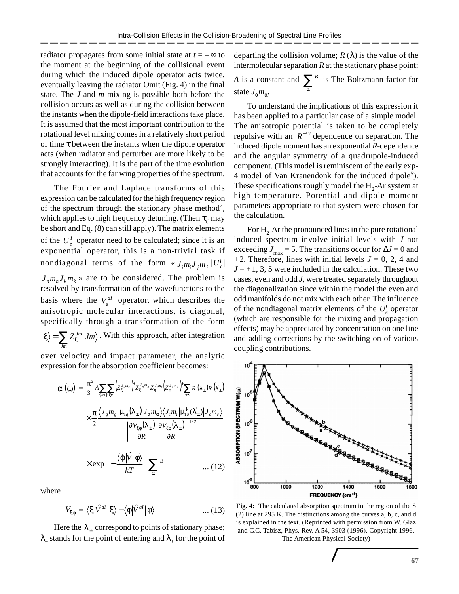radiator propagates from some initial state at  $t = -\infty$  to the moment at the beginning of the collisional event during which the induced dipole operator acts twice, eventually leaving the radiator Omit (Fig. 4) in the final state. The *J* and *m* mixing is possible both before the collision occurs as well as during the collision between the instants when the dipole-field interactions take place. It is assumed that the most important contribution to the rotational level mixing comes in a relatively short period of time τ between the instants when the dipole operator acts (when radiator and perturber are more likely to be strongly interacting). It is the part of the time evolution that accounts for the far wing properties of the spectrum.

The Fourier and Laplace transforms of this expression can be calculated for the high frequency region of the spectrum through the stationary phase method<sup>4</sup>, which applies to high frequency detuning. (Then  $\tau_{C}$  may be short and Eq. (8) can still apply). The matrix elements of the  $U_e^I$  operator need to be calculated; since it is an exponential operator, this is a non-trivial task if nondiagonal terms of the form  $\ll J_i m_i J_j m_j \mid U_e^I \mid$  $J_n m_n J_k m_k$  are to be considered. The problem is resolved by transformation of the wavefunctions to the basis where the  $V_e^{al}$  operator, which describes the anisotropic molecular interactions, is diagonal, specifically through a transformation of the form  $Z_{\varepsilon} ^{Jm}|Jm$ *Jm*  $\langle \xi \rangle = \sum Z_{\xi}^{Jm} |Jm\rangle$  . With this approach, after integration

over velocity and impact parameter, the analytic expression for the absorption coefficient becomes:

$$
\alpha\left(\omega\right) = \frac{\pi^{2}}{3} A \sum_{\{jm\}} \sum_{\xi\phi} \left(Z_{\xi}^{J_{\epsilon}m_{\epsilon}}\right)^{s} Z_{\xi}^{J_{\epsilon}m_{\epsilon}} Z_{\phi}^{J_{\epsilon}m_{\epsilon}} \left(Z_{\phi}^{J_{\epsilon}m_{\sigma}}\right)^{s} \sum_{\pm\lambda} R\left(\lambda_{\pm}\right) R\left(\lambda_{\pm}\right)
$$
\n
$$
\times \frac{\pi}{2} \frac{\left\langle J_{g} m_{g} \left| \mu_{1q}\left(\lambda_{\pm}\right) \right| J_{\alpha} m_{\alpha} \right\rangle \left\langle J_{i} m_{i} \left| \mu_{1q}^{L}\left(\lambda_{\pm}\right) \right| J_{c} m_{c} \right\rangle}{\left(\left|\frac{\partial V_{\xi\phi}\left(\lambda_{\pm}\right)}{\partial R}\right| \frac{\partial V_{\xi\phi}\left(\lambda_{\pm}\right)}{\partial R}\right| \right)^{1/2}} \times \exp\left(-\frac{\left\langle \phi \left| \hat{V} \right| \phi \right\rangle}{kT}\right) \sum_{\alpha}^{B} \omega \qquad \qquad \dots (12)
$$

where

$$
V_{\xi\phi} = \langle \xi | \hat{V}^{al} | \xi \rangle - \langle \phi | \hat{V}^{al} | \phi \rangle \qquad \qquad \dots (13)
$$

Here the  $\lambda_{\pm}$  correspond to points of stationary phase;  $\lambda_{\scriptscriptstyle{-}}$  stands for the point of entering and  $\lambda_{\scriptscriptstyle{+}}$  for the point of departing the collision volume;  $R(\lambda)$  is the value of the intermolecular separation *R* at the stationary phase point;

*A* is a constant and  $\sum_{\alpha}^{B}$  is The Boltzmann factor for state  $J_{\alpha}m_{\alpha}$ .

To understand the implications of this expression it has been applied to a particular case of a simple model. The anisotropic potential is taken to be completely repulsive with an  $R^{-12}$  dependence on separation. The induced dipole moment has an exponential *R*-dependence and the angular symmetry of a quadrupole-induced component. (This model is reminiscent of the early exp-4 model of Van Kranendonk for the induced dipole<sup>5</sup>). These specifications roughly model the  $H_2$ -Ar system at high temperature. Potential and dipole moment parameters appropriate to that system were chosen for the calculation.

For  $H_2$ -Ar the pronounced lines in the pure rotational induced spectrum involve initial levels with *J* not exceeding  $J_{\text{max}} = 5$ . The transitions occur for  $\Delta J = 0$  and +2. Therefore, lines with initial levels  $J = 0, 2, 4$  and  $J = +1, 3, 5$  were included in the calculation. These two cases, even and odd *J*, were treated separately throughout the diagonalization since within the model the even and odd manifolds do not mix with each other. The influence of the nondiagonal matrix elements of the  $U_e^I$  operator (which are responsible for the mixing and propagation effects) may be appreciated by concentration on one line and adding corrections by the switching on of various coupling contributions.



**Fig. 4:** The calculated absorption spectrum in the region of the S (2) line at 295 K. The distinctions among the curves a, b, c, and d is explained in the text. (Reprinted with permission from W. Glaz and G.C. Tabisz, Phys. Rev. A 54, 3903 (1996). Copyright 1996, The American Physical Society)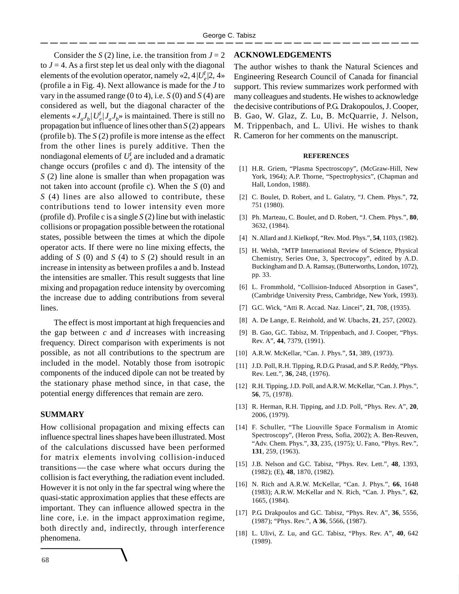Consider the *S* (2) line, i.e. the transition from  $J = 2$ to  $J = 4$ . As a first step let us deal only with the diagonal elements of the evolution operator, namely «2,  $4|U_e^I|$  2,  $4 \times$ (profile a in Fig. 4). Next allowance is made for the *J* to vary in the assumed range  $(0 \text{ to } 4)$ , i.e.  $S(0)$  and  $S(4)$  are considered as well, but the diagonal character of the elements  $\langle J_a J_b | U_e^I | J_a J_b \rangle$  is maintained. There is still no propagation but influence of lines other than *S* (2) appears (profile b). The *S* (2) profile is more intense as the effect from the other lines is purely additive. Then the nondiagonal elements of  $U_e^I$  are included and a dramatic change occurs (profiles c and d). The intensity of the *S* (2) line alone is smaller than when propagation was not taken into account (profile c). When the *S* (0) and *S* (4) lines are also allowed to contribute, these contributions tend to lower intensity even more (profile d). Profile c is a single *S* (2) line but with inelastic collisions or propagation possible between the rotational states, possible between the times at which the dipole operator acts. If there were no line mixing effects, the adding of *S* (0) and *S* (4) to *S* (2) should result in an increase in intensity as between profiles a and b. Instead the intensities are smaller. This result suggests that line mixing and propagation reduce intensity by overcoming the increase due to adding contributions from several lines.

The effect is most important at high frequencies and the gap between *c* and *d* increases with increasing frequency. Direct comparison with experiments is not possible, as not all contributions to the spectrum are included in the model. Notably those from isotropic components of the induced dipole can not be treated by the stationary phase method since, in that case, the potential energy differences that remain are zero.

# **SUMMARY**

How collisional propagation and mixing effects can influence spectral lines shapes have been illustrated. Most of the calculations discussed have been performed for matrix elements involving collision-induced transitions —the case where what occurs during the collision is fact everything, the radiation event included. However it is not only in the far spectral wing where the quasi-static approximation applies that these effects are important. They can influence allowed spectra in the line core, i.e. in the impact approximation regime, both directly and, indirectly, through interference phenomena.

## **ACKNOWLEDGEMENTS**

The author wishes to thank the Natural Sciences and Engineering Research Council of Canada for financial support. This review summarizes work performed with many colleagues and students. He wishes to acknowledge the decisive contributions of P.G. Drakopoulos, J. Cooper, B. Gao, W. Glaz, Z. Lu, B. McQuarrie, J. Nelson, M. Trippenbach, and L. Ulivi. He wishes to thank R. Cameron for her comments on the manuscript.

#### **REFERENCES**

- [1] H.R. Griem, "Plasma Spectroscopy", (McGraw-Hill, New York, 1964); A.P. Thorne, "Spectrophysics", (Chapman and Hall, London, 1988).
- [2] C. Boulet, D. Robert, and L. Galatry, "J. Chem. Phys.", **72**, 751 (1980).
- [3] Ph. Marteau, C. Boulet, and D. Robert, "J. Chem. Phys.", **80**, 3632, (1984).
- [4] N. Allard and J. Kielkopf, "Rev. Mod. Phys.", **54**, 1103, (1982).
- [5] H. Welsh, "MTP International Review of Science, Physical Chemistry, Series One, 3, Spectrocopy", edited by A.D. Buckingham and D. A. Ramsay, (Butterworths, London, 1072), pp. 33.
- [6] L. Frommhold, "Collision-Induced Absorption in Gases", (Cambridge University Press, Cambridge, New York, 1993).
- [7] G.C. Wick, "Atti R. Accad. Naz. Lincei", **21**, 708, (1935).
- [8] A. De Lange, E. Reinhold, and W. Ubachs, **21**, 257, (2002).
- [9] B. Gao, G.C. Tabisz, M. Trippenbach, and J. Cooper, "Phys. Rev. A", **44**, 7379, (1991).
- [10] A.R.W. McKellar, "Can. J. Phys.", **51**, 389, (1973).
- [11] J.D. Poll, R.H. Tipping, R.D.G. Prasad, and S.P. Reddy, "Phys. Rev. Lett.", **36**, 248, (1976).
- [12] R.H. Tipping, J.D. Poll, and A.R.W. McKellar, "Can. J. Phys.", **56**, 75, (1978).
- [13] R. Herman, R.H. Tipping, and J.D. Poll, "Phys. Rev. A", **20**, 2006, (1979).
- [14] F. Schuller, "The Liouville Space Formalism in Atomic Spectroscopy", (Heron Press, Sofia, 2002); A. Ben-Reuven, "Adv. Chem. Phys.", **33**, 235, (1975); U. Fano, "Phys. Rev.", **131**, 259, (1963).
- [15] J.B. Nelson and G.C. Tabisz, "Phys. Rev. Lett.", **48**, 1393, (1982); (E), **48**, 1870, (1982).
- [16] N. Rich and A.R.W. McKellar, "Can. J. Phys.", **66**, 1648 (1983); A.R.W. McKellar and N. Rich, "Can. J. Phys.", **62**, 1665, (1984).
- [17] P.G. Drakpoulos and G.C. Tabisz, "Phys. Rev. A", **36**, 5556, (1987); "Phys. Rev.", **A 36**, 5566, (1987).
- [18] L. Ulivi, Z. Lu, and G.C. Tabisz, "Phys. Rev. A", **40**, 642 (1989).